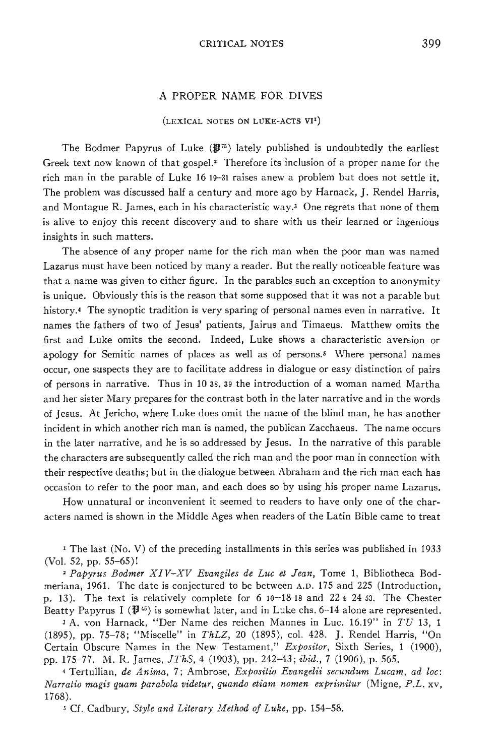## A PROPER NAME FOR DIVES

## (LEXICAL NOTES ON LUKE-ACTS VI')

The Bodmer Papyrus of Luke ( $\sharp$ <sup>75</sup>) lately published is undoubtedly the earliest Greek text now known of that gospel.' Therefore its inclusion of a proper name for the rich man in the parable of Luke 16 19--31 raises anew a problem but does not settle it. The problem was discussed half a century and more ago by Harnack, J. Rendel Harris, and Montague R. James, each in his characteristic way.<sup>3</sup> One regrets that none of them is alive to enjoy this recent discovery and to share with us their learned or ingenious insights in such matters.

The absence of any proper name for the rich man when the poor man was named Lazarus must have been noticed by many a reader. But the really noticeable feature was that a name was given to either figure. In the parables such an exception to anonymity is unique. Obviously this is the reason that some supposed that it was not a parable but history.<sup>4</sup> The synoptic tradition is very sparing of personal names even in narrative. It names the fathers of two of Jesus' patients, Jairus and Timaeus. Matthew omits the first and Luke omits the second. Indeed, Luke shows a characteristic aversion or apology for Semitic names of places as well as of persons.<sup>5</sup> Where personal names occur, one suspects they are to facilitate address in dialogue or easy distinction of pairs of persons in narrative. Thus in 10 38, 39 the introduction of a woman named Martha and her sister Mary prepares for the contrast both in the later narrative and in the words of Jesus. At Jericho, where Luke does omit the name of the blind man, he has another incident in which another rich man is named, the publican Zacchaeus. The name occurs in the later narrative, and he is so addressed by Jesus. In the narrative of this parable the characters are subsequently called the rich man and the poor man in connection with their respective deaths; but in the dialogue between Abraham and the rich man each has occasion to refer to the poor man, and each does so by using his proper name Lazarus.

How unnatural or inconvenient it seemed to readers to have only one of the characters named is shown in the Middle Ages when readers of the Latin Bible came to treat

' The last (No. V) of the preceding installments in this series was published in 1933 (Vol. 52, pp. 55-65)!

• *Papyrus Bodmer XIV-XV Evangiles de Luc et Jean,* Tome 1, Bibliotheca Bodmeriana, 1961. The date is conjectured to be between A.D. 175 and 225 (Introduction, p. 13). The text is relatively complete for  $6 \times 10^{-18}$  18 and  $22 \times 4-24 \times 53$ . The Chester Beatty Papyrus I ( $\overline{\psi}^{45}$ ) is somewhat later, and in Luke chs. 6-14 alone are represented.

<sup>J</sup>A. von Harnack, "Der Name des reichen Mannes in Luc. 16.19" in TU 13, 1 (1895), pp. 75-78; "Miscelle" in *ThLZ,* 20 (1895), col. 428. J. Rende! Harris, "On Certain Obscure Names in the New Testament," *Expositor,* Sixth Series, 1 (1900), pp. 175-77. M. R. James, *JThS,* 4 (1903), pp. 242-43; *ibid.,* 7 (1906), p. 565.

• Tertullian, *de Anima,* 7; Ambrose, *Expositio Evangelii secundum Lucam, ad loc: Narratio magis quam parabola videtur, quando etiam nomen exprimitur* (Migne, *P .L.* xv, 1768).

s Cf. Cadbury, *Style and Literary Method of Luke,* pp. 154-58.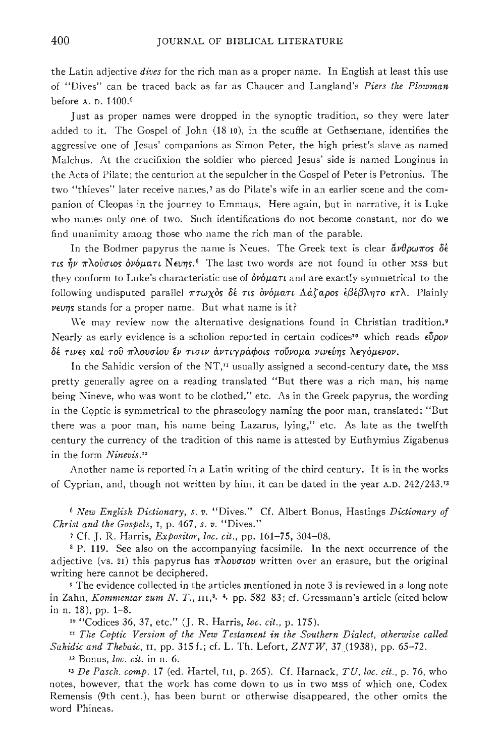the Latin adjective *dives* for the rich man as a proper name. In English at least this use of "Dives" can be traced back as far as Chaucer and Langland's *Piers the Plowman*  before A. D. 1400.6

Just as proper names were dropped in the synoptic tradition, so they were later added to it. The Gospel of John (18 10), in the scuffle at Gethsemane, identifies the aggressive one of Jesus' companions as Simon Peter, the high priest's slave as named Malchus. At the crucifixion the soldier who pierced Jesus' side is named Longinus in the Acts of Pilate; the centurion at the sepulcher in the Gospel of Peter is Petronius. The two "thieves" later receive names, 7 as do Pilate's wife in an earlier scene and the companion of Cleopas in the journey to Emmaus. Here again, but in narrative, it is Luke who names only one of two. Such identifications do not become constant, nor do we find unanimity among those who name the rich man of the parable.

In the Bodmer papyrus the name is Neues. The Greek text is clear  $\tilde{a}\nu\theta\rho\omega\pi$ os  $\delta\acute{\epsilon}$ TLS  $\tilde{\eta}y$   $\pi\lambda$ oύσιος όνόματι Nevns.<sup>8</sup> The last two words are not found in other MSS but they conform to Luke's characteristic use of  $\dot{\theta} \nu \dot{\theta} \mu \alpha \tau \mu$  and are exactly symmetrical to the following undisputed parallel  $\pi\tau\omega\chi$ òs δέ τις ονόματι Λάζαρος εβέβλητο κτλ. Plainly  $\nu \epsilon \nu \eta s$  stands for a proper name. But what name is it?

We may review now the alternative designations found in Christian tradition.<sup>9</sup> Nearly as early evidence is a scholion reported in certain codices<sup>10</sup> which reads  $\epsilon \hat{v} \rho \sigma \nu$ δέ τινες καί του πλουσίου έν τισιν άντιγράφοις τούνομα νινεύης λεγόμενον.

In the Sahidic version of the NT,<sup>11</sup> usually assigned a second-century date, the MSS pretty generally agree on a reading translated "But there was a rich man, his name being Nineve, who was wont to be clothed," etc. As in the Greek papyrus, the wording in the Coptic is symmetrical to the phraseology naming the poor man, translated: "But there was a poor man, his name being Lazarus, lying," etc. As late as the twelfth century the currency of the tradition of this name is attested by Euthymius Zigabenus in the form *Ninevis.* <sup>12</sup>

Another name is reported in a Latin writing of the third century. It is in the works of Cyprian, and, though not written by him, it can be dated in the year A.D. 242/243.'3

6 *New English Dictionary, s. v.* "Dives." Cf. Albert Bonus, Hastings *Dictionary of Christ and the Gospels,* I, p. 467, *s. v.* "Dives."

<sup>7</sup> Cf. J. R. Harris, *Expositor, loc. cit.*, pp. 161–75, 304–08.<br><sup>8</sup> P. 119. See also on the accompanying facsimile. In the next occurrence of the adjective (vs. 21) this papyrus has  $\pi\lambda\omega\sigma\omega$  written over an erasure, but the original writing here cannot be deciphered.

9 The evidence collected in the articles mentioned in note 3 is reviewed in a long note in Zahn, *Kommentar zum N. T.*,  $III$ <sup>3, 4</sup>, pp. 582–83; cf. Gressmann's article (cited below inn. 18), pp. 1-8.

•• "Codices 36, 37, etc." (J. R. Harris, *loc. cit.,* p. 175).

" *The Coptic Version of the New Testament in the Southern Dialect, otherwise called Sahidic and Thebaic*, *II*, *pp.* 315 f.; cf. L. Th. Lefort, *ZNTW*, 37 (1938), *pp.* 65-72.

" Bonus, *loc. cit.* in n. 6.

'3 *De Pasch. comp.* 17 (ed . Hartel, III, p. 265). Cf. Harnack, *TU, loc. cit.,* p. 76, who notes, however, that the work has come down to us in two MSS of which one, Codex Remensis (9th cent.), has been burnt or otherwise disappeared, the other omits the word Phineas.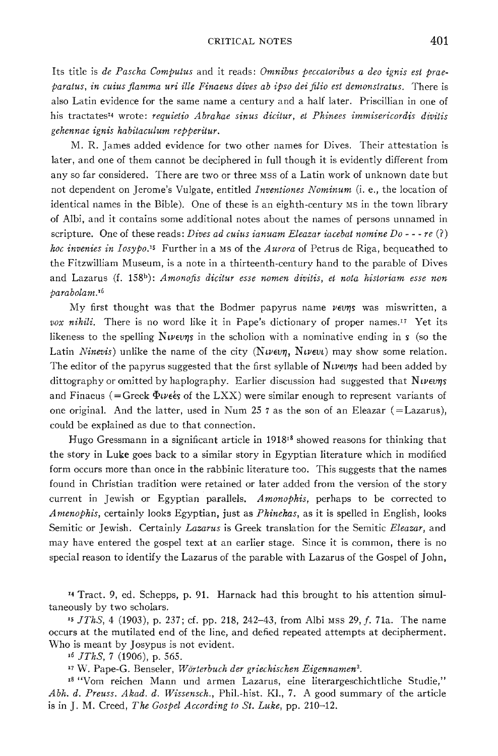Its title is *de Pascha Computus* and it reads: *Omnibus peccatoribus a deo ignis est praeparatus, in cuius fiamma uri ille Finaeus dives ab ipso dei filio est demonstratus.* There is also Latin evidence for the same name a century and a half later. Priscillian in one of his tractatesi4 wrote: *requietio Abrahae sinus dicitur, et Phinees immisericordis divitis gehennae ignis habitaculum repperitur.* 

M. R. James added evidence for two other names for Dives. Their attestation is later, and one of them cannot be deciphered in full though it is evidently different from any so far considered. There are two or three Mss of a Latin work of unknown date but not dependent on Jerome's Vulgate, entitled *Inventiones Nominum* (i.e., the location of identical names in the Bible). One of these is an eighth-century MS in the town library of Albi, and it contains some additional notes about the names of persons unnamed in scripture. One of these reads: *Dives ad cuius ianuam Eleazar iacebat nomine Do--- re* (?) *hoc invenies in Iosypo.Is* Further in a Ms of the *Aurora* of Petrus de Riga, bequeathed to the Fitzwilliam Museum, is a note in a thirteenth-century hand to the parable of Dives and Lazarus (f. 158h): *Amonofis dicitur esse nomen divitis, et nota historiam esse non parabolam.I6* 

My first thought was that the Bodmer papyrus name *vevns* was miswritten, a *vox nihili.* There is no word like it in Pape's dictionary of proper names.<sup>17</sup> Yet its likeness to the spelling  $N \nu \epsilon \nu \eta s$  in the scholion with a nominative ending in s (so the Latin *Ninevis*) unlike the name of the city  $(Nev\eta, N\nu\epsilon v\iota)$  may show some relation. The editor of the papyrus suggested that the first syllable of N*wevns* had been added by dittography or omitted by haplography. Earlier discussion had suggested that  $N \nu \epsilon \nu \eta s$ and Finaeus (=Greek  $\Phi\nu\epsilon\epsilon s$  of the LXX) were similar enough to represent variants of one original. And the latter, used in Num 25 7 as the son of an Eleazar (=Lazarus), could be explained as due to that connection.

Hugo Gressmann in a significant article in  $1918<sup>18</sup>$  showed reasons for thinking that the story in Luke goes back to a similar story in Egyptian literature which in modified form occurs more than once in the rabbinic literature too. This suggests that the names found in Christian tradition were retained or later added from the version of the story current in Jewish or Egyptian parallels. *Amonophis,* perhaps to be corrected to *Amenophis,* certainly looks Egyptian, just as *Phinehas,* as it is spelled in English, looks Semitic or Jewish. Certainly *Lazarus* is Greek translation for the Semitic *Eleazar,* and may have entered the gospel text at an earlier stage. Since it is common, there is no special reason to identify the Lazarus of the parable with Lazarus of the Gospel of John,

I4 Tract. 9, ed. Schepps, p. 91. Harnack had this brought to his attention simultaneously by two scholars.

IS *JThS,* 4 (1903), p. 237; cf. pp. 218, 242-43, from Albi MSS 29, f. 71a. The name occurs at the mutilated end of the line, and defied repeated attempts at decipherment. Who is meant by Josypus is not evident.

I6 *JThS,* 7 (1906), p. 565.

<sup>17</sup> W. Pape-G. Benseler, *Wörterbuch der griechischen Eigennamen*<sup>3</sup>.

IS "Vom reichen Mann und armen Lazarus, eine literargeschichtliche Studie," *Abh. d. Preuss. Akad. d. Wissensch.,* Phil.-hist. Kl., 7. A good summary of the article is in J. M. Creed, *The Gospel According to St. Luke,* pp. 210-12.